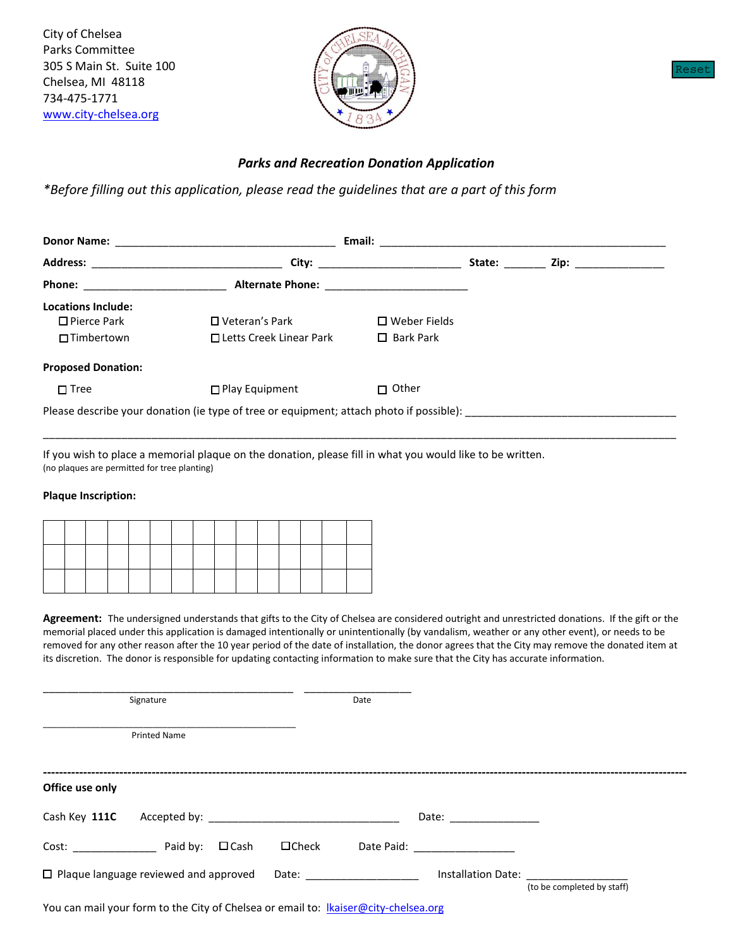City of Chelsea Parks Committee 305 S Main St. Suite 100 Chelsea, MI 48118 734-475-1771 [www.city-chelsea.org](http://www.city-chelsea.org/) 



### Reset

## *Parks and Recreation Donation Application*

*\*Before filling out this application, please read the guidelines that are a part of this form*

|                                                                                                                                                                                                                                     | Email:                                                                                              |                                                                                                                                                                                                                                |        |                       |  |
|-------------------------------------------------------------------------------------------------------------------------------------------------------------------------------------------------------------------------------------|-----------------------------------------------------------------------------------------------------|--------------------------------------------------------------------------------------------------------------------------------------------------------------------------------------------------------------------------------|--------|-----------------------|--|
| <b>Address:</b>                                                                                                                                                                                                                     |                                                                                                     | City: the contract of the contract of the contract of the contract of the contract of the contract of the contract of the contract of the contract of the contract of the contract of the contract of the contract of the cont | State: | Zip: ________________ |  |
| <b>Phone:</b> and the state of the state of the state of the state of the state of the state of the state of the state of the state of the state of the state of the state of the state of the state of the state of the state of t |                                                                                                     |                                                                                                                                                                                                                                |        |                       |  |
| Locations Include:                                                                                                                                                                                                                  |                                                                                                     |                                                                                                                                                                                                                                |        |                       |  |
| $\Box$ Pierce Park                                                                                                                                                                                                                  | $\Box$ Veteran's Park                                                                               | $\Box$ Weber Fields                                                                                                                                                                                                            |        |                       |  |
| $\Box$ Timbertown                                                                                                                                                                                                                   | □ Letts Creek Linear Park                                                                           | $\Box$ Bark Park                                                                                                                                                                                                               |        |                       |  |
| <b>Proposed Donation:</b>                                                                                                                                                                                                           |                                                                                                     |                                                                                                                                                                                                                                |        |                       |  |
| $\Box$ Tree                                                                                                                                                                                                                         | $\Box$ Play Equipment                                                                               | $\Box$ Other                                                                                                                                                                                                                   |        |                       |  |
|                                                                                                                                                                                                                                     | Please describe your donation (ie type of tree or equipment; attach photo if possible): ___________ |                                                                                                                                                                                                                                |        |                       |  |

\_\_\_\_\_\_\_\_\_\_\_\_\_\_\_\_\_\_\_\_\_\_\_\_\_\_\_\_\_\_\_\_\_\_\_\_\_\_\_\_\_\_\_\_\_\_\_\_\_\_\_\_\_\_\_\_\_\_\_\_\_\_\_\_\_\_\_\_\_\_\_\_\_\_\_\_\_\_\_\_\_\_\_\_\_\_\_\_\_\_\_\_\_\_\_\_\_\_\_\_\_\_\_\_\_

If you wish to place a memorial plaque on the donation, please fill in what you would like to be written. (no plaques are permitted for tree planting)

#### **Plaque Inscription:**

**Agreement:** The undersigned understands that gifts to the City of Chelsea are considered outright and unrestricted donations. If the gift or the memorial placed under this application is damaged intentionally or unintentionally (by vandalism, weather or any other event), or needs to be removed for any other reason after the 10 year period of the date of installation, the donor agrees that the City may remove the donated item at its discretion. The donor is responsible for updating contacting information to make sure that the City has accurate information.

|                 | Signature                                                                           |              | Date                           |                                 |                                                                                   |
|-----------------|-------------------------------------------------------------------------------------|--------------|--------------------------------|---------------------------------|-----------------------------------------------------------------------------------|
|                 | <b>Printed Name</b>                                                                 |              |                                |                                 |                                                                                   |
| Office use only |                                                                                     |              |                                |                                 |                                                                                   |
| Cash Key 111C   |                                                                                     |              |                                | Date: _______________           |                                                                                   |
|                 | Cost: Paid by: □ Cash                                                               | $\Box$ Check |                                | Date Paid: <u>_____________</u> |                                                                                   |
|                 | $\Box$ Plaque language reviewed and approved                                        |              | Date: ________________________ |                                 | Installation Date: The Contractor of the Contractor<br>(to be completed by staff) |
|                 | You can mail your form to the City of Chelsea or email to: Ikaiser@city-chelsea.org |              |                                |                                 |                                                                                   |